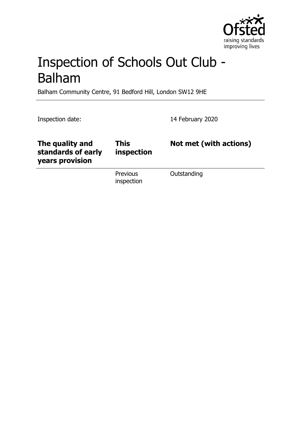

# Inspection of Schools Out Club - Balham

Balham Community Centre, 91 Bedford Hill, London SW12 9HE

Inspection date: 14 February 2020

| The quality and<br>standards of early<br>years provision | This<br>inspection     | Not met (with actions) |
|----------------------------------------------------------|------------------------|------------------------|
|                                                          | Previous<br>inspection | Outstanding            |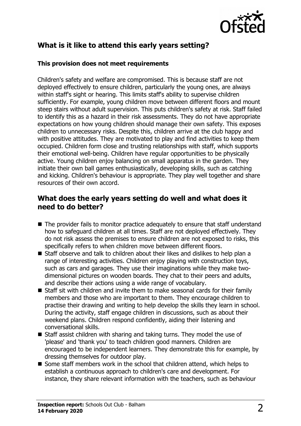

# **What is it like to attend this early years setting?**

#### **This provision does not meet requirements**

Children's safety and welfare are compromised. This is because staff are not deployed effectively to ensure children, particularly the young ones, are always within staff's sight or hearing. This limits staff's ability to supervise children sufficiently. For example, young children move between different floors and mount steep stairs without adult supervision. This puts children's safety at risk. Staff failed to identify this as a hazard in their risk assessments. They do not have appropriate expectations on how young children should manage their own safety. This exposes children to unnecessary risks. Despite this, children arrive at the club happy and with positive attitudes. They are motivated to play and find activities to keep them occupied. Children form close and trusting relationships with staff, which supports their emotional well-being. Children have regular opportunities to be physically active. Young children enjoy balancing on small apparatus in the garden. They initiate their own ball games enthusiastically, developing skills, such as catching and kicking. Children's behaviour is appropriate. They play well together and share resources of their own accord.

### **What does the early years setting do well and what does it need to do better?**

- $\blacksquare$  The provider fails to monitor practice adequately to ensure that staff understand how to safeguard children at all times. Staff are not deployed effectively. They do not risk assess the premises to ensure children are not exposed to risks, this specifically refers to when children move between different floors.
- $\blacksquare$  Staff observe and talk to children about their likes and dislikes to help plan a range of interesting activities. Children enjoy playing with construction toys, such as cars and garages. They use their imaginations while they make twodimensional pictures on wooden boards. They chat to their peers and adults, and describe their actions using a wide range of vocabulary.
- $\blacksquare$  Staff sit with children and invite them to make seasonal cards for their family members and those who are important to them. They encourage children to practise their drawing and writing to help develop the skills they learn in school. During the activity, staff engage children in discussions, such as about their weekend plans. Children respond confidently, aiding their listening and conversational skills.
- $\blacksquare$  Staff assist children with sharing and taking turns. They model the use of 'please' and 'thank you' to teach children good manners. Children are encouraged to be independent learners. They demonstrate this for example, by dressing themselves for outdoor play.
- Some staff members work in the school that children attend, which helps to establish a continuous approach to children's care and development. For instance, they share relevant information with the teachers, such as behaviour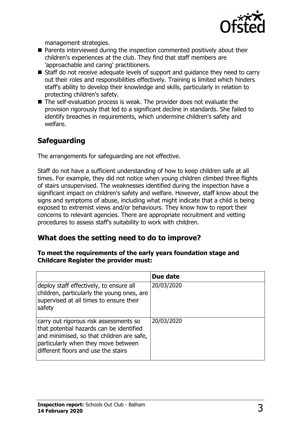

management strategies.

- Parents interviewed during the inspection commented positively about their children's experiences at the club. They find that staff members are 'approachable and caring' practitioners.
- $\blacksquare$  Staff do not receive adequate levels of support and guidance they need to carry out their roles and responsibilities effectively. Training is limited which hinders staff's ability to develop their knowledge and skills, particularly in relation to protecting children's safety.
- $\blacksquare$  The self-evaluation process is weak. The provider does not evaluate the provision rigorously that led to a significant decline in standards. She failed to identify breaches in requirements, which undermine children's safety and welfare.

# **Safeguarding**

The arrangements for safeguarding are not effective.

Staff do not have a sufficient understanding of how to keep children safe at all times. For example, they did not notice when young children climbed three flights of stairs unsupervised. The weaknesses identified during the inspection have a significant impact on children's safety and welfare. However, staff know about the signs and symptoms of abuse, including what might indicate that a child is being exposed to extremist views and/or behaviours. They know how to report their concerns to relevant agencies. There are appropriate recruitment and vetting procedures to assess staff's suitability to work with children.

## **What does the setting need to do to improve?**

#### **To meet the requirements of the early years foundation stage and Childcare Register the provider must:**

|                                                                                                                                                                                                               | Due date   |
|---------------------------------------------------------------------------------------------------------------------------------------------------------------------------------------------------------------|------------|
| deploy staff effectively, to ensure all<br>children, particularly the young ones, are<br>supervised at all times to ensure their<br>safety                                                                    | 20/03/2020 |
| carry out rigorous risk assessments so<br>that potential hazards can be identified<br>and minimised, so that children are safe,<br>particularly when they move between<br>different floors and use the stairs | 20/03/2020 |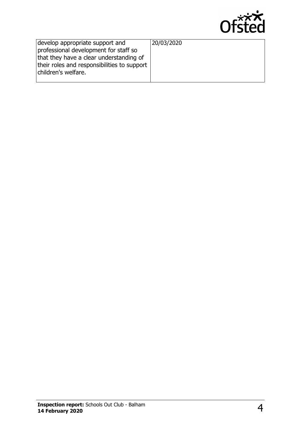

| develop appropriate support and<br>professional development for staff so<br>that they have a clear understanding of<br>their roles and responsibilities to support | 20/03/2020 |
|--------------------------------------------------------------------------------------------------------------------------------------------------------------------|------------|
| children's welfare.                                                                                                                                                |            |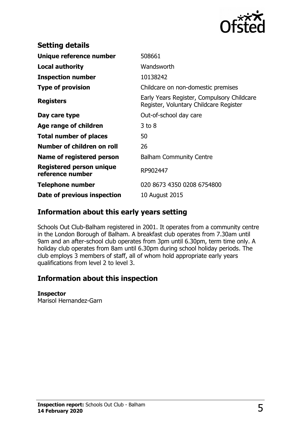

| <b>Setting details</b>                              |                                                                                      |
|-----------------------------------------------------|--------------------------------------------------------------------------------------|
| Unique reference number                             | 508661                                                                               |
| <b>Local authority</b>                              | Wandsworth                                                                           |
| <b>Inspection number</b>                            | 10138242                                                                             |
| <b>Type of provision</b>                            | Childcare on non-domestic premises                                                   |
| <b>Registers</b>                                    | Early Years Register, Compulsory Childcare<br>Register, Voluntary Childcare Register |
| Day care type                                       | Out-of-school day care                                                               |
| Age range of children                               | $3$ to $8$                                                                           |
| <b>Total number of places</b>                       | 50                                                                                   |
| Number of children on roll                          | 26                                                                                   |
| Name of registered person                           | <b>Balham Community Centre</b>                                                       |
| <b>Registered person unique</b><br>reference number | RP902447                                                                             |
| <b>Telephone number</b>                             | 020 8673 4350 0208 6754800                                                           |
| Date of previous inspection                         | 10 August 2015                                                                       |

## **Information about this early years setting**

Schools Out Club-Balham registered in 2001. It operates from a community centre in the London Borough of Balham. A breakfast club operates from 7.30am until 9am and an after-school club operates from 3pm until 6.30pm, term time only. A holiday club operates from 8am until 6.30pm during school holiday periods. The club employs 3 members of staff, all of whom hold appropriate early years qualifications from level 2 to level 3.

## **Information about this inspection**

#### **Inspector**

Marisol Hernandez-Garn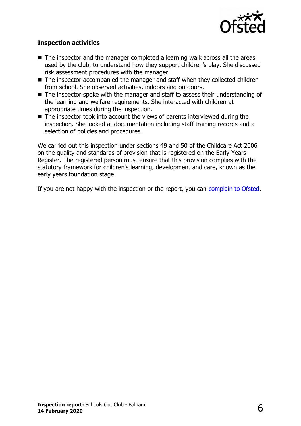

#### **Inspection activities**

- $\blacksquare$  The inspector and the manager completed a learning walk across all the areas used by the club, to understand how they support children's play. She discussed risk assessment procedures with the manager.
- The inspector accompanied the manager and staff when they collected children from school. She observed activities, indoors and outdoors.
- $\blacksquare$  The inspector spoke with the manager and staff to assess their understanding of the learning and welfare requirements. She interacted with children at appropriate times during the inspection.
- The inspector took into account the views of parents interviewed during the inspection. She looked at documentation including staff training records and a selection of policies and procedures.

We carried out this inspection under sections 49 and 50 of the Childcare Act 2006 on the quality and standards of provision that is registered on the Early Years Register. The registered person must ensure that this provision complies with the statutory framework for children's learning, development and care, known as the early years foundation stage.

If you are not happy with the inspection or the report, you can [complain to Ofsted.](http://www.gov.uk/complain-ofsted-report)